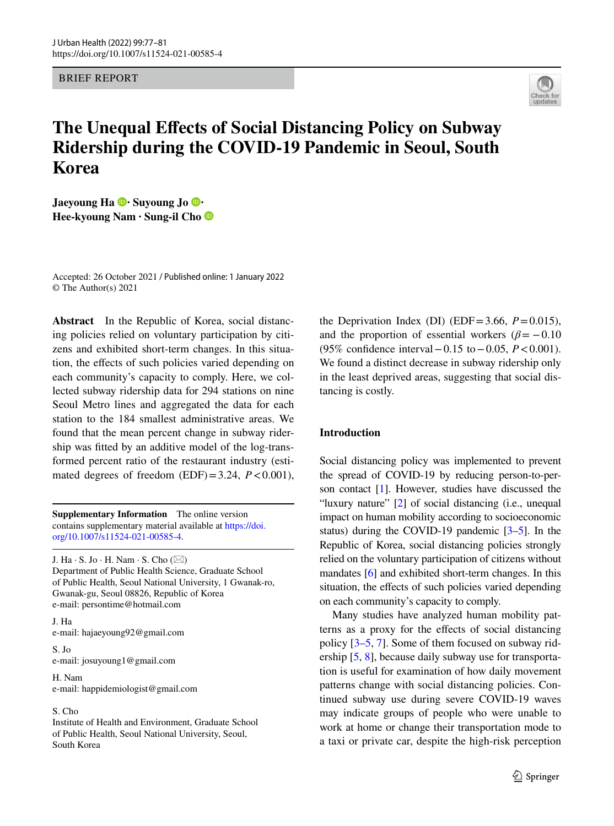BRIEF REPORT



# **The Unequal Efects of Social Distancing Policy on Subway Ridership during the COVID‑19 Pandemic in Seoul, South Korea**

**JaeyoungHa**  $\bullet$  **Suyoung Jo Hee‑kyoung Nam · Sung‑il Cho**

Accepted: 26 October 2021 / Published online: 1 January 2022© The Author(s) 2021

**Abstract** In the Republic of Korea, social distancing policies relied on voluntary participation by citizens and exhibited short-term changes. In this situation, the efects of such policies varied depending on each community's capacity to comply. Here, we collected subway ridership data for 294 stations on nine Seoul Metro lines and aggregated the data for each station to the 184 smallest administrative areas. We found that the mean percent change in subway ridership was ftted by an additive model of the log-transformed percent ratio of the restaurant industry (estimated degrees of freedom  $(EDF)=3.24$ ,  $P<0.001$ ),

**Supplementary Information** The online version contains supplementary material available at [https://doi.](https://doi.org/10.1007/s11524-021-00585-4) [org/10.1007/s11524-021-00585-4.](https://doi.org/10.1007/s11524-021-00585-4)

J. Ha  $\cdot$  S. Jo  $\cdot$  H. Nam  $\cdot$  S. Cho ( $\boxtimes$ ) Department of Public Health Science, Graduate School of Public Health, Seoul National University, 1 Gwanak-ro, Gwanak-gu, Seoul 08826, Republic of Korea e-mail: persontime@hotmail.com

J. Ha e-mail: hajaeyoung92@gmail.com

S. Jo e-mail: josuyoung1@gmail.com

H. Nam e-mail: happidemiologist@gmail.com

## S. Cho

Institute of Health and Environment, Graduate School of Public Health, Seoul National University, Seoul, South Korea

the Deprivation Index (DI) (EDF=3.66,  $P=0.015$ ), and the proportion of essential workers  $(\beta = -0.10)$ (95% confdence interval−0.15 to−0.05, *P*<0.001). We found a distinct decrease in subway ridership only in the least deprived areas, suggesting that social distancing is costly.

# **Introduction**

Social distancing policy was implemented to prevent the spread of COVID-19 by reducing person-to-person contact [\[1\]](#page-4-0). However, studies have discussed the "luxury nature" [\[2](#page-4-1)] of social distancing (i.e., unequal impact on human mobility according to socioeconomic status) during the COVID-19 pandemic  $[3-5]$  $[3-5]$ . In the Republic of Korea, social distancing policies strongly relied on the voluntary participation of citizens without mandates [\[6\]](#page-4-4) and exhibited short-term changes. In this situation, the effects of such policies varied depending on each community's capacity to comply.

Many studies have analyzed human mobility patterns as a proxy for the efects of social distancing policy [[3–](#page-4-2)[5,](#page-4-3) [7\]](#page-4-5). Some of them focused on subway ridership [\[5](#page-4-3), [8](#page-4-6)], because daily subway use for transportation is useful for examination of how daily movement patterns change with social distancing policies. Continued subway use during severe COVID-19 waves may indicate groups of people who were unable to work at home or change their transportation mode to a taxi or private car, despite the high-risk perception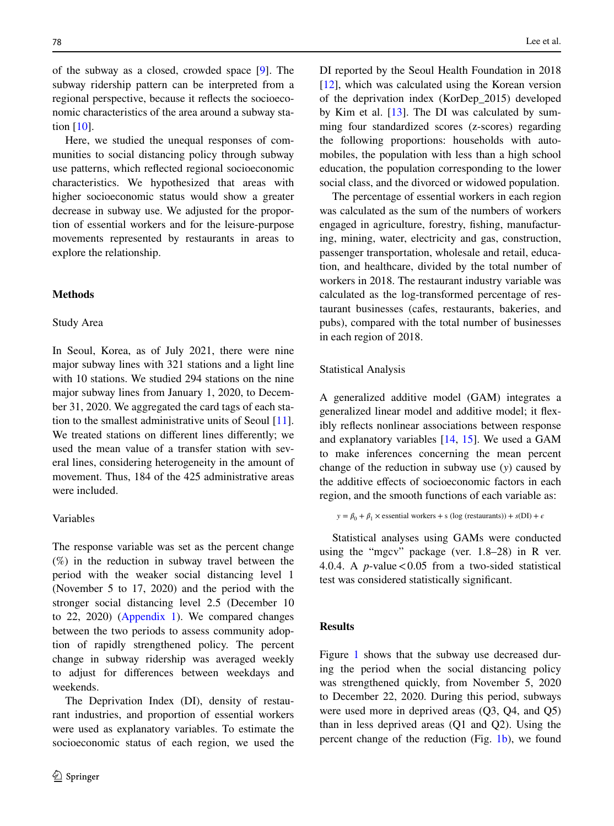of the subway as a closed, crowded space [[9\]](#page-4-7). The subway ridership pattern can be interpreted from a regional perspective, because it refects the socioeconomic characteristics of the area around a subway station [\[10](#page-4-8)].

Here, we studied the unequal responses of communities to social distancing policy through subway use patterns, which refected regional socioeconomic characteristics. We hypothesized that areas with higher socioeconomic status would show a greater decrease in subway use. We adjusted for the proportion of essential workers and for the leisure-purpose movements represented by restaurants in areas to explore the relationship.

## **Methods**

#### Study Area

In Seoul, Korea, as of July 2021, there were nine major subway lines with 321 stations and a light line with 10 stations. We studied 294 stations on the nine major subway lines from January 1, 2020, to December 31, 2020. We aggregated the card tags of each station to the smallest administrative units of Seoul [\[11](#page-4-9)]. We treated stations on diferent lines diferently; we used the mean value of a transfer station with several lines, considering heterogeneity in the amount of movement. Thus, 184 of the 425 administrative areas were included.

# Variables

The response variable was set as the percent change (%) in the reduction in subway travel between the period with the weaker social distancing level 1 (November 5 to 17, 2020) and the period with the stronger social distancing level 2.5 (December 10 to 22, 2020) (Appendix 1). We compared changes between the two periods to assess community adoption of rapidly strengthened policy. The percent change in subway ridership was averaged weekly to adjust for diferences between weekdays and weekends.

The Deprivation Index (DI), density of restaurant industries, and proportion of essential workers were used as explanatory variables. To estimate the socioeconomic status of each region, we used the

DI reported by the Seoul Health Foundation in 2018 [\[12](#page-4-10)], which was calculated using the Korean version of the deprivation index (KorDep\_2015) developed by Kim et al. [[13\]](#page-4-11). The DI was calculated by summing four standardized scores (z-scores) regarding the following proportions: households with automobiles, the population with less than a high school education, the population corresponding to the lower social class, and the divorced or widowed population.

The percentage of essential workers in each region was calculated as the sum of the numbers of workers engaged in agriculture, forestry, fshing, manufacturing, mining, water, electricity and gas, construction, passenger transportation, wholesale and retail, education, and healthcare, divided by the total number of workers in 2018. The restaurant industry variable was calculated as the log-transformed percentage of restaurant businesses (cafes, restaurants, bakeries, and pubs), compared with the total number of businesses in each region of 2018.

#### Statistical Analysis

A generalized additive model (GAM) integrates a generalized linear model and additive model; it fexibly refects nonlinear associations between response and explanatory variables [[14,](#page-4-12) [15\]](#page-4-13). We used a GAM to make inferences concerning the mean percent change of the reduction in subway use (*y*) caused by the additive effects of socioeconomic factors in each region, and the smooth functions of each variable as:

```
y = \beta_0 + \beta_1 \times essential workers + s (log (restaurants)) + s(DI) + \epsilon
```
Statistical analyses using GAMs were conducted using the "mgcv" package (ver. 1.8–28) in R ver. 4.0.4. A *p*-value  $< 0.05$  from a two-sided statistical test was considered statistically signifcant.

## **Results**

Figure [1](#page-2-0) shows that the subway use decreased during the period when the social distancing policy was strengthened quickly, from November 5, 2020 to December 22, 2020. During this period, subways were used more in deprived areas (Q3, Q4, and Q5) than in less deprived areas (Q1 and Q2). Using the percent change of the reduction (Fig. [1b](#page-2-0)), we found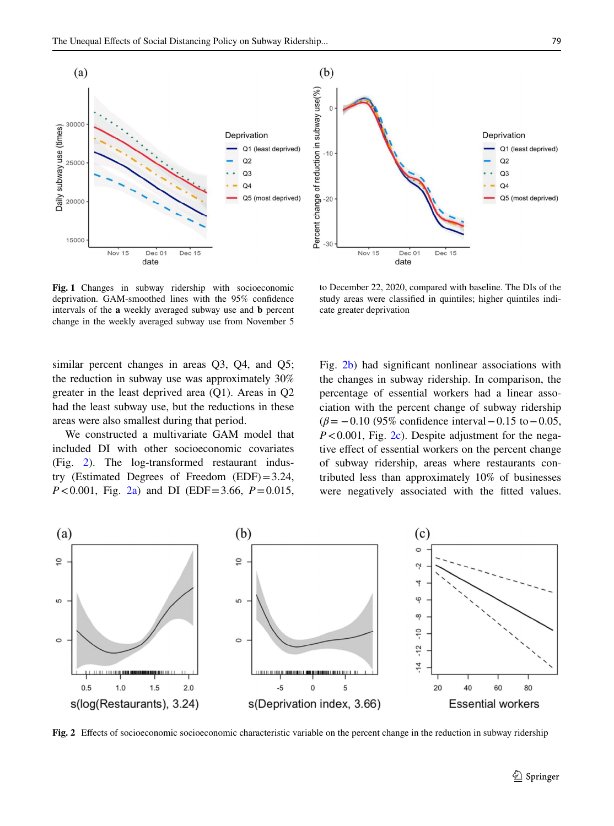

 $(b)$ Percent change of reduction in subway use(%) Deprivation Q1 (least deprived)  $-10$  $Q2$  $O<sub>3</sub>$  $Q<sub>4</sub>$  $-20$ Q5 (most deprived)  $-30$ Nov 15 Dec 01 Dec 15 date

<span id="page-2-0"></span>**Fig. 1** Changes in subway ridership with socioeconomic deprivation. GAM-smoothed lines with the 95% confdence intervals of the **a** weekly averaged subway use and **b** percent change in the weekly averaged subway use from November 5

to December 22, 2020, compared with baseline. The DIs of the study areas were classifed in quintiles; higher quintiles indicate greater deprivation

similar percent changes in areas Q3, Q4, and Q5; the reduction in subway use was approximately 30% greater in the least deprived area (Q1). Areas in Q2 had the least subway use, but the reductions in these areas were also smallest during that period.

We constructed a multivariate GAM model that included DI with other socioeconomic covariates (Fig. [2](#page-2-1)). The log-transformed restaurant industry (Estimated Degrees of Freedom (EDF)=3.24, *P*<0.001, Fig. [2a](#page-2-1)) and DI (EDF=3.66, *P*=0.015, Fig. [2b](#page-2-1)) had signifcant nonlinear associations with the changes in subway ridership. In comparison, the percentage of essential workers had a linear association with the percent change of subway ridership (*β*= −0.10 (95% confdence interval−0.15 to−0.05, *P*<0.001, Fig. [2c](#page-2-1)). Despite adjustment for the negative effect of essential workers on the percent change of subway ridership, areas where restaurants contributed less than approximately 10% of businesses were negatively associated with the ftted values.



<span id="page-2-1"></span>**Fig. 2** Efects of socioeconomic socioeconomic characteristic variable on the percent change in the reduction in subway ridership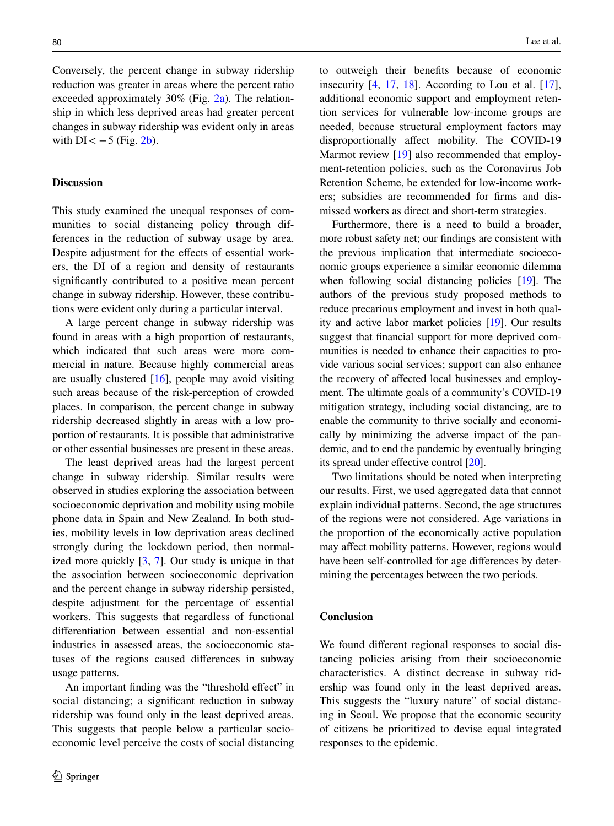Conversely, the percent change in subway ridership reduction was greater in areas where the percent ratio exceeded approximately  $30\%$  (Fig. [2a](#page-2-1)). The relationship in which less deprived areas had greater percent changes in subway ridership was evident only in areas with  $DI < -5$  (Fig. [2b\)](#page-2-1).

# **Discussion**

This study examined the unequal responses of communities to social distancing policy through differences in the reduction of subway usage by area. Despite adjustment for the effects of essential workers, the DI of a region and density of restaurants signifcantly contributed to a positive mean percent change in subway ridership. However, these contributions were evident only during a particular interval.

A large percent change in subway ridership was found in areas with a high proportion of restaurants, which indicated that such areas were more commercial in nature. Because highly commercial areas are usually clustered  $[16]$  $[16]$ , people may avoid visiting such areas because of the risk-perception of crowded places. In comparison, the percent change in subway ridership decreased slightly in areas with a low proportion of restaurants. It is possible that administrative or other essential businesses are present in these areas.

The least deprived areas had the largest percent change in subway ridership. Similar results were observed in studies exploring the association between socioeconomic deprivation and mobility using mobile phone data in Spain and New Zealand. In both studies, mobility levels in low deprivation areas declined strongly during the lockdown period, then normalized more quickly  $[3, 7]$  $[3, 7]$  $[3, 7]$  $[3, 7]$ . Our study is unique in that the association between socioeconomic deprivation and the percent change in subway ridership persisted, despite adjustment for the percentage of essential workers. This suggests that regardless of functional diferentiation between essential and non-essential industries in assessed areas, the socioeconomic statuses of the regions caused diferences in subway usage patterns.

An important finding was the "threshold effect" in social distancing; a signifcant reduction in subway ridership was found only in the least deprived areas. This suggests that people below a particular socioeconomic level perceive the costs of social distancing to outweigh their benefts because of economic insecurity  $[4, 17, 18]$  $[4, 17, 18]$  $[4, 17, 18]$  $[4, 17, 18]$  $[4, 17, 18]$  $[4, 17, 18]$  $[4, 17, 18]$ . According to Lou et al.  $[17]$  $[17]$ , additional economic support and employment retention services for vulnerable low-income groups are needed, because structural employment factors may disproportionally afect mobility. The COVID-19 Marmot review [[19\]](#page-4-18) also recommended that employment-retention policies, such as the Coronavirus Job Retention Scheme, be extended for low-income workers; subsidies are recommended for frms and dismissed workers as direct and short-term strategies.

Furthermore, there is a need to build a broader, more robust safety net; our fndings are consistent with the previous implication that intermediate socioeconomic groups experience a similar economic dilemma when following social distancing policies [[19](#page-4-18)]. The authors of the previous study proposed methods to reduce precarious employment and invest in both quality and active labor market policies [\[19](#page-4-18)]. Our results suggest that fnancial support for more deprived communities is needed to enhance their capacities to provide various social services; support can also enhance the recovery of afected local businesses and employment. The ultimate goals of a community's COVID-19 mitigation strategy, including social distancing, are to enable the community to thrive socially and economically by minimizing the adverse impact of the pandemic, and to end the pandemic by eventually bringing its spread under efective control [\[20\]](#page-4-19).

Two limitations should be noted when interpreting our results. First, we used aggregated data that cannot explain individual patterns. Second, the age structures of the regions were not considered. Age variations in the proportion of the economically active population may afect mobility patterns. However, regions would have been self-controlled for age diferences by determining the percentages between the two periods.

#### **Conclusion**

We found diferent regional responses to social distancing policies arising from their socioeconomic characteristics. A distinct decrease in subway ridership was found only in the least deprived areas. This suggests the "luxury nature" of social distancing in Seoul. We propose that the economic security of citizens be prioritized to devise equal integrated responses to the epidemic.